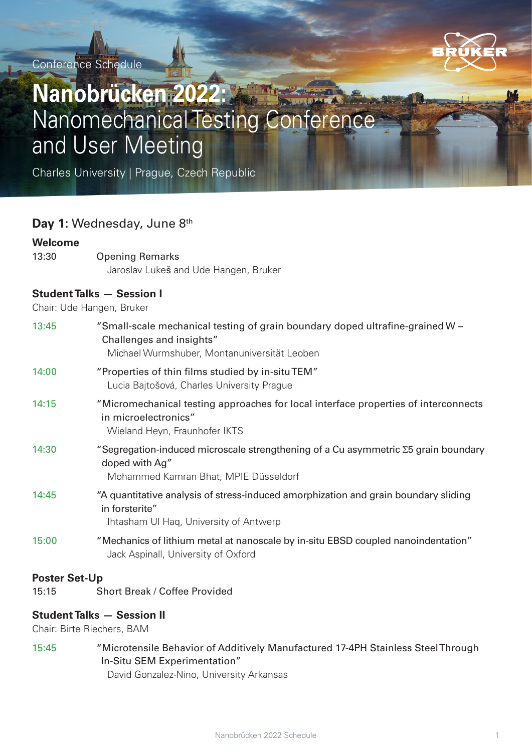Conference Schedule



# **Nanobrücken 2022:**  Nanomechanical Testing Conference and User Meeting

Charles University | Prague, Czech Republic

## Day 1: Wednesday, June 8<sup>th</sup>

#### **Welcome**

13:30 Opening Remarks Jaroslav Lukeš and Ude Hangen, Bruker

### **Student Talks — Session I**

Chair: Ude Hangen, Bruker

| 13:45                | "Small-scale mechanical testing of grain boundary doped ultrafine-grained W -<br>Challenges and insights"<br>Michael Wurmshuber, Montanuniversität Leoben |
|----------------------|-----------------------------------------------------------------------------------------------------------------------------------------------------------|
| 14:00                | "Properties of thin films studied by in-situTEM"<br>Lucia Bajtošová, Charles University Prague                                                            |
| 14:15                | "Micromechanical testing approaches for local interface properties of interconnects<br>in microelectronics"<br>Wieland Heyn, Fraunhofer IKTS              |
| 14:30                | "Segregation-induced microscale strengthening of a Cu asymmetric $\Sigma$ 5 grain boundary<br>doped with Ag"<br>Mohammed Kamran Bhat, MPIE Düsseldorf     |
| 14:45                | "A quantitative analysis of stress-induced amorphization and grain boundary sliding<br>in forsterite"<br>Ihtasham UI Haq, University of Antwerp           |
| 15:00                | "Mechanics of lithium metal at nanoscale by in-situ EBSD coupled nanoindentation"<br>Jack Aspinall, University of Oxford                                  |
| <b>Poster Set-Up</b> |                                                                                                                                                           |

15:15 Short Break / Coffee Provided

### **Student Talks — Session II**

Chair: Birte Riechers, BAM

15:45 "Microtensile Behavior of Additively Manufactured 17-4PH Stainless Steel Through In-Situ SEM Experimentation" David Gonzalez-Nino, University Arkansas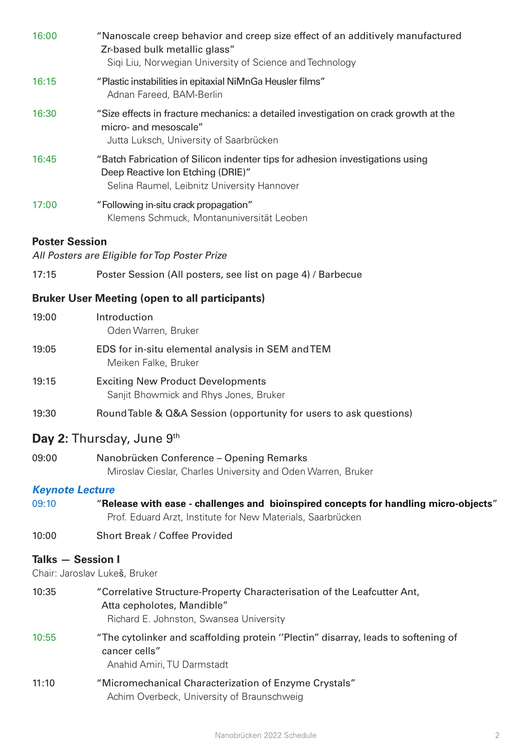| 16:00                  | "Nanoscale creep behavior and creep size effect of an additively manufactured<br>Zr-based bulk metallic glass"<br>Sigi Liu, Norwegian University of Science and Technology |
|------------------------|----------------------------------------------------------------------------------------------------------------------------------------------------------------------------|
| 16:15                  | "Plastic instabilities in epitaxial NiMnGa Heusler films"<br>Adnan Fareed, BAM-Berlin                                                                                      |
| 16:30                  | "Size effects in fracture mechanics: a detailed investigation on crack growth at the<br>micro- and mesoscale"<br>Jutta Luksch, University of Saarbrücken                   |
| 16:45                  | "Batch Fabrication of Silicon indenter tips for adhesion investigations using<br>Deep Reactive Ion Etching (DRIE)"<br>Selina Raumel, Leibnitz University Hannover          |
| 17:00                  | "Following in-situ crack propagation"<br>Klemens Schmuck, Montanuniversität Leoben                                                                                         |
| <b>Poster Session</b>  |                                                                                                                                                                            |
|                        | All Posters are Eligible for Top Poster Prize                                                                                                                              |
| 17:15                  | Poster Session (All posters, see list on page 4) / Barbecue                                                                                                                |
|                        | <b>Bruker User Meeting (open to all participants)</b>                                                                                                                      |
| 19:00                  | Introduction<br>Oden Warren, Bruker                                                                                                                                        |
| 19:05                  | EDS for in-situ elemental analysis in SEM and TEM<br>Meiken Falke, Bruker                                                                                                  |
| 19:15                  | <b>Exciting New Product Developments</b><br>Sanjit Bhowmick and Rhys Jones, Bruker                                                                                         |
| 19:30                  | Round Table & Q&A Session (opportunity for users to ask questions)                                                                                                         |
|                        | Day 2: Thursday, June 9th                                                                                                                                                  |
| 09:00                  | Nanobrücken Conference – Opening Remarks<br>Miroslav Cieslar, Charles University and Oden Warren, Bruker                                                                   |
| <b>Keynote Lecture</b> |                                                                                                                                                                            |
| 09:10                  | "Release with ease - challenges and bioinspired concepts for handling micro-objects"<br>Prof. Eduard Arzt, Institute for New Materials, Saarbrücken                        |
| 10:00                  | Short Break / Coffee Provided                                                                                                                                              |
|                        | <b>Talks - Session I</b><br>Chair: Jaroslav Lukeš, Bruker                                                                                                                  |
| 10:35                  | "Correlative Structure-Property Characterisation of the Leafcutter Ant,<br>Atta cepholotes, Mandible"<br>Richard E. Johnston, Swansea University                           |
| 10:55                  | "The cytolinker and scaffolding protein "Plectin" disarray, leads to softening of<br>cancer cells"<br>Anahid Amiri, TU Darmstadt                                           |

11:10 "Micromechanical Characterization of Enzyme Crystals" Achim Overbeck, University of Braunschweig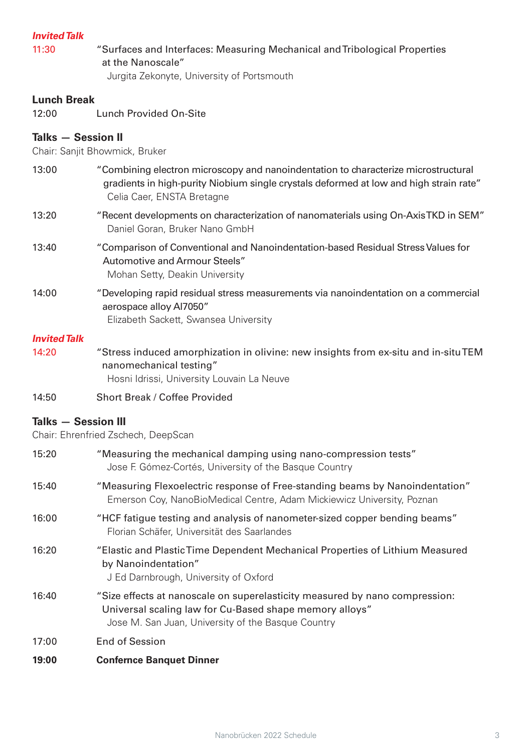### **Invited Talk**

11:30 "Surfaces and Interfaces: Measuring Mechanical and Tribological Properties at the Nanoscale"

Jurgita Zekonyte, University of Portsmouth

### **Lunch Break**

12:00 Lunch Provided On-Site

### **Talks — Session II**

Chair: Sanjit Bhowmick, Bruker

- 13:00 "Combining electron microscopy and nanoindentation to characterize microstructural gradients in high-purity Niobium single crystals deformed at low and high strain rate" Celia Caer, ENSTA Bretagne
- 13:20 "Recent developments on characterization of nanomaterials using On-Axis TKD in SEM" Daniel Goran, Bruker Nano GmbH
- 13:40 "Comparison of Conventional and Nanoindentation-based Residual Stress Values for Automotive and Armour Steels" Mohan Setty, Deakin University
- 14:00 "Developing rapid residual stress measurements via nanoindentation on a commercial aerospace alloy Al7050" Elizabeth Sackett, Swansea University

#### **Invited Talk**

- 14:20 "Stress induced amorphization in olivine: new insights from ex-situ and in-situ TEM nanomechanical testing" Hosni Idrissi, University Louvain La Neuve
- 14:50 Short Break / Coffee Provided

### **Talks — Session III**

Chair: Ehrenfried Zschech, DeepScan

| 15:20                                 | "Measuring the mechanical damping using nano-compression tests"<br>Jose F. Gómez-Cortés, University of the Basque Country                                                                    |
|---------------------------------------|----------------------------------------------------------------------------------------------------------------------------------------------------------------------------------------------|
| 15:40                                 | "Measuring Flexoelectric response of Free-standing beams by Nanoindentation"<br>Emerson Coy, NanoBioMedical Centre, Adam Mickiewicz University, Poznan                                       |
| 16:00                                 | "HCF fatigue testing and analysis of nanometer-sized copper bending beams"<br>Florian Schäfer, Universität des Saarlandes                                                                    |
| 16:20                                 | "Elastic and Plastic Time Dependent Mechanical Properties of Lithium Measured<br>by Nanoindentation"<br>J Ed Darnbrough, University of Oxford                                                |
| 16:40                                 | "Size effects at nanoscale on superelasticity measured by nano compression:<br>Universal scaling law for Cu-Based shape memory alloys"<br>Jose M. San Juan, University of the Basque Country |
| 17:00                                 | <b>End of Session</b>                                                                                                                                                                        |
| $\bullet\bullet\bullet\bullet\bullet$ |                                                                                                                                                                                              |

**19:00 Confernce Banquet Dinner**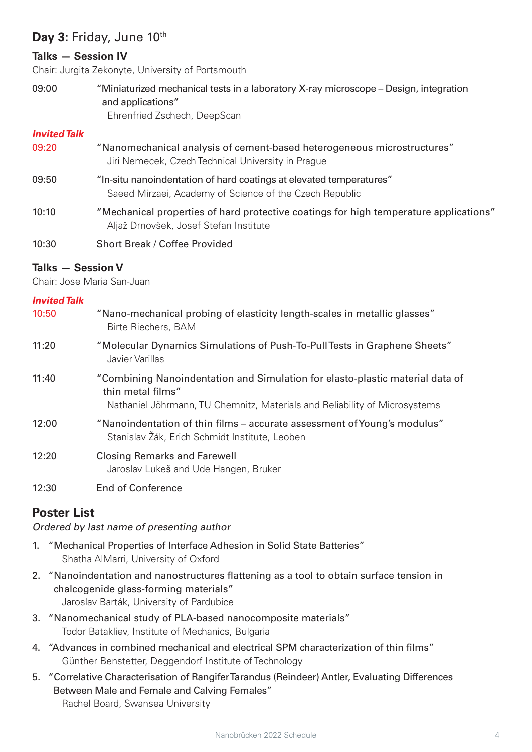# Day 3: Friday, June 10<sup>th</sup>

### **Talks — Session IV**

Chair: Jurgita Zekonyte, University of Portsmouth

09:00 "Miniaturized mechanical tests in a laboratory X-ray microscope – Design, integration and applications" Ehrenfried Zschech, DeepScan

### **Invited Talk**

- 09:20 "Nanomechanical analysis of cement-based heterogeneous microstructures" Jiri Nemecek, Czech Technical University in Prague
- 09:50 "In-situ nanoindentation of hard coatings at elevated temperatures" Saeed Mirzaei, Academy of Science of the Czech Republic
- 10:10 "Mechanical properties of hard protective coatings for high temperature applications" Aljaž Drnovšek, Josef Stefan Institute
- 10:30 Short Break / Coffee Provided

### **Talks — Session V**

Chair: Jose Maria San-Juan

### **Invited Talk**

| 10:50 | "Nano-mechanical probing of elasticity length-scales in metallic glasses"<br>Birte Riechers, BAM                                                                                 |
|-------|----------------------------------------------------------------------------------------------------------------------------------------------------------------------------------|
| 11:20 | "Molecular Dynamics Simulations of Push-To-Pull Tests in Graphene Sheets"<br>Javier Varillas                                                                                     |
| 11:40 | "Combining Nanoindentation and Simulation for elasto-plastic material data of<br>thin metal films"<br>Nathaniel Jöhrmann, TU Chemnitz, Materials and Reliability of Microsystems |
| 12:00 | "Nanoindentation of thin films – accurate assessment of Young's modulus"<br>Stanislav Žák, Erich Schmidt Institute, Leoben                                                       |
| 12:20 | <b>Closing Remarks and Farewell</b><br>Jaroslav Lukeš and Ude Hangen, Bruker                                                                                                     |

12:30 End of Conference

# **Poster List**

### Ordered by last name of presenting author

- 1. "Mechanical Properties of Interface Adhesion in Solid State Batteries" Shatha AlMarri, University of Oxford
- 2. "Nanoindentation and nanostructures flattening as a tool to obtain surface tension in chalcogenide glass-forming materials" Jaroslav Barták, University of Pardubice
- 3. "Nanomechanical study of PLA-based nanocomposite materials" Todor Batakliev, Institute of Mechanics, Bulgaria
- 4. "Advances in combined mechanical and electrical SPM characterization of thin films" Günther Benstetter, Deggendorf Institute of Technology
- 5. "Correlative Characterisation of Rangifer Tarandus (Reindeer) Antler, Evaluating Differences Between Male and Female and Calving Females" Rachel Board, Swansea University